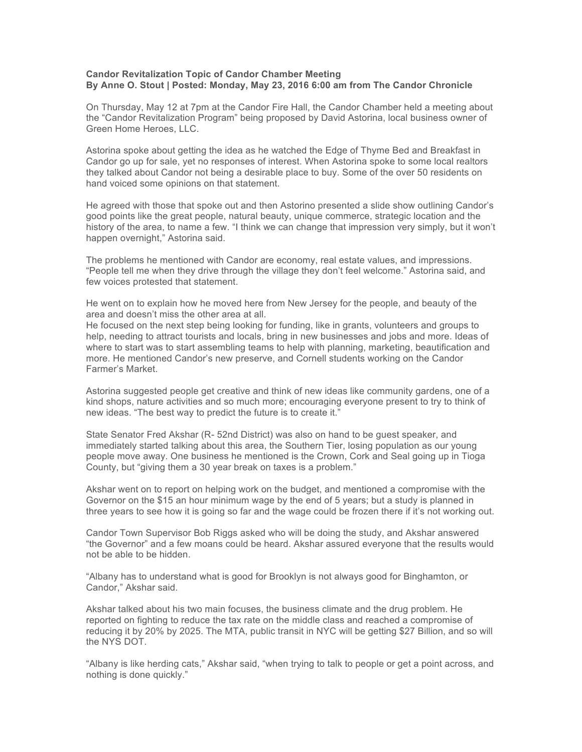## **Candor Revitalization Topic of Candor Chamber Meeting By Anne O. Stout | Posted: Monday, May 23, 2016 6:00 am from The Candor Chronicle**

On Thursday, May 12 at 7pm at the Candor Fire Hall, the Candor Chamber held a meeting about the "Candor Revitalization Program" being proposed by David Astorina, local business owner of Green Home Heroes, LLC.

Astorina spoke about getting the idea as he watched the Edge of Thyme Bed and Breakfast in Candor go up for sale, yet no responses of interest. When Astorina spoke to some local realtors they talked about Candor not being a desirable place to buy. Some of the over 50 residents on hand voiced some opinions on that statement.

He agreed with those that spoke out and then Astorino presented a slide show outlining Candor's good points like the great people, natural beauty, unique commerce, strategic location and the history of the area, to name a few. "I think we can change that impression very simply, but it won't happen overnight," Astorina said.

The problems he mentioned with Candor are economy, real estate values, and impressions. "People tell me when they drive through the village they don't feel welcome." Astorina said, and few voices protested that statement.

He went on to explain how he moved here from New Jersey for the people, and beauty of the area and doesn't miss the other area at all.

He focused on the next step being looking for funding, like in grants, volunteers and groups to help, needing to attract tourists and locals, bring in new businesses and jobs and more. Ideas of where to start was to start assembling teams to help with planning, marketing, beautification and more. He mentioned Candor's new preserve, and Cornell students working on the Candor Farmer's Market.

Astorina suggested people get creative and think of new ideas like community gardens, one of a kind shops, nature activities and so much more; encouraging everyone present to try to think of new ideas. "The best way to predict the future is to create it."

State Senator Fred Akshar (R- 52nd District) was also on hand to be guest speaker, and immediately started talking about this area, the Southern Tier, losing population as our young people move away. One business he mentioned is the Crown, Cork and Seal going up in Tioga County, but "giving them a 30 year break on taxes is a problem."

Akshar went on to report on helping work on the budget, and mentioned a compromise with the Governor on the \$15 an hour minimum wage by the end of 5 years; but a study is planned in three years to see how it is going so far and the wage could be frozen there if it's not working out.

Candor Town Supervisor Bob Riggs asked who will be doing the study, and Akshar answered "the Governor" and a few moans could be heard. Akshar assured everyone that the results would not be able to be hidden.

"Albany has to understand what is good for Brooklyn is not always good for Binghamton, or Candor," Akshar said.

Akshar talked about his two main focuses, the business climate and the drug problem. He reported on fighting to reduce the tax rate on the middle class and reached a compromise of reducing it by 20% by 2025. The MTA, public transit in NYC will be getting \$27 Billion, and so will the NYS DOT.

"Albany is like herding cats," Akshar said, "when trying to talk to people or get a point across, and nothing is done quickly."